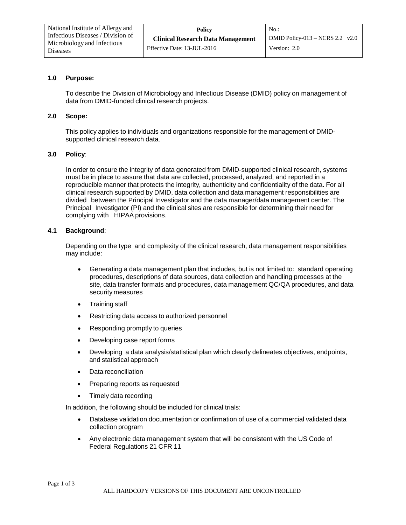| National Institute of Allergy and<br>Infectious Diseases / Division of<br>Microbiology and Infectious<br><b>Diseases</b> | Policy                                   | $No.$ :                           |
|--------------------------------------------------------------------------------------------------------------------------|------------------------------------------|-----------------------------------|
|                                                                                                                          | <b>Clinical Research Data Management</b> | DMID Policy-013 – NCRS 2.2 $v2.0$ |
|                                                                                                                          | Effective Date: 13-JUL-2016              | Version: 2.0                      |

## **1.0 Purpose:**

To describe the Division of Microbiology and Infectious Disease (DMID) policy on management of data from DMID-funded clinical research projects.

### **2.0 Scope:**

This policy applies to individuals and organizations responsible for the management of DMIDsupported clinical research data.

# **3.0 Policy**:

In order to ensure the integrity of data generated from DMID-supported clinical research, systems must be in place to assure that data are collected, processed, analyzed, and reported in a reproducible manner that protects the integrity, authenticity and confidentiality of the data. For all clinical research supported by DMID, data collection and data management responsibilities are divided between the Principal Investigator and the data manager/data management center. The Principal Investigator (PI) and the clinical sites are responsible for determining their need for complying with HIPAA provisions.

## **4.1 Background**:

Depending on the type and complexity of the clinical research, data management responsibilities may include:

- Generating a data management plan that includes, but is not limited to: standard operating procedures, descriptions of data sources, data collection and handling processes at the site, data transfer formats and procedures, data management QC/QA procedures, and data security measures
- Training staff
- Restricting data access to authorized personnel
- Responding promptly to queries
- Developing case report forms
- Developing a data analysis/statistical plan which clearly delineates objectives, endpoints, and statistical approach
- Data reconciliation
- Preparing reports as requested
- Timely data recording

In addition, the following should be included for clinical trials:

- Database validation documentation or confirmation of use of a commercial validated data collection program
- Any electronic data management system that will be consistent with the US Code of Federal Regulations 21 CFR 11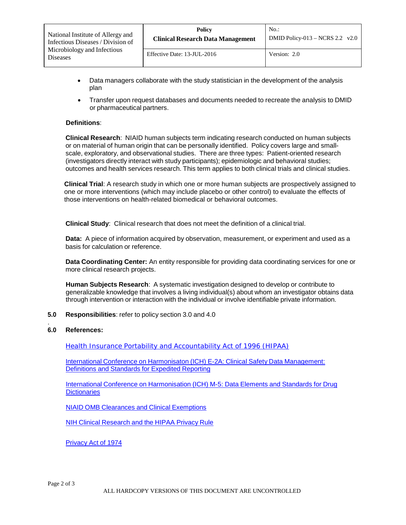| National Institute of Allergy and              | Policy                                   | $No.$ :                           |
|------------------------------------------------|------------------------------------------|-----------------------------------|
| Infectious Diseases / Division of              | <b>Clinical Research Data Management</b> | DMID Policy-013 – NCRS 2.2 $v2.0$ |
| Microbiology and Infectious<br><b>Diseases</b> | Effective Date: 13-JUL-2016              | Version: 2.0                      |

- Data managers collaborate with the study statistician in the development of the analysis plan
- Transfer upon request databases and documents needed to recreate the analysis to DMID or pharmaceutical partners.

### **Definitions**:

**Clinical Research**: NIAID human subjects term indicating research conducted on human subjects or on material of human origin that can be personally identified. Policy covers large and smallscale, exploratory, and observational studies. There are three types: Patient-oriented research (investigators directly interact with study participants); epidemiologic and behavioral studies; outcomes and health services research. This term applies to both clinical trials and clinical studies.

**Clinical Trial**: A research study in which one or more human subjects are prospectively assigned to one or more interventions (which may include placebo or other control) to evaluate the effects of those interventions on health-related biomedical or behavioral outcomes.

**Clinical Study**: Clinical research that does not meet the definition of a clinical trial.

**Data:** A piece of information acquired by observation, measurement, or experiment and used as a basis for calculation or reference.

**Data Coordinating Center:** An entity responsible for providing data coordinating services for one or more clinical research projects.

**Human Subjects Research**: A systematic investigation designed to develop or contribute to generalizable knowledge that involves a living individual(s) about whom an investigator obtains data through intervention or interaction with the individual or involve identifiable private information.

**5.0 Responsibilities**: refer to policy section 3.0 and 4.0

#### . **6.0 References:**

Health Insurance Portability and [Accountability](https://www.hhs.gov/hipaa/index.html) Act of 1996 (HIPAA)

International Conference on [Harmonisaton](https://database.ich.org/sites/default/files/E2A_Guideline.pdf) (ICH) E-2A: Clinical Safety Data Management: [Definitions](http://www.ich.org/fileadmin/Public_Web_Site/ICH_Products/Guidelines/Efficacy/E2A/Step4/E2A_Guideline.pdf) and Standards for Expedited Reporting

International Conference on [Harmonisation](http://www.ema.europa.eu/docs/en_GB/document_library/Scientific_guideline/2009/09/WC500002729.pdf) (ICH) M-5: Data Elements and Standards for Drug **[Dictionaries](https://database.ich.org/sites/default/files/E2A_Guideline.pdf)** 

NIAID OMB Clearances and Clinical [Exemptions](https://inside.niaid.nih.gov/budget-funding/omb-clearances-clinical-exemptions-sop)

NIH Clinical [Research](http://privacyruleandresearch.nih.gov/clin_research.asp) and the HIPAA Privacy Rule

[Privacy](http://www.justice.gov/opcl/privstat.htm) Act of 1974